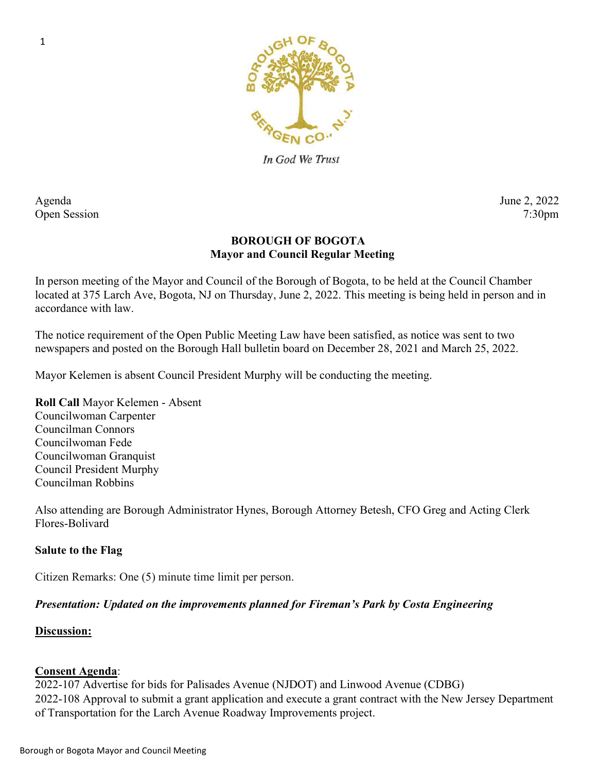

In God We Trust

Agenda June 2, 2022 Open Session 7:30pm

# BOROUGH OF BOGOTA Mayor and Council Regular Meeting

In person meeting of the Mayor and Council of the Borough of Bogota, to be held at the Council Chamber located at 375 Larch Ave, Bogota, NJ on Thursday, June 2, 2022. This meeting is being held in person and in accordance with law.

The notice requirement of the Open Public Meeting Law have been satisfied, as notice was sent to two newspapers and posted on the Borough Hall bulletin board on December 28, 2021 and March 25, 2022.

Mayor Kelemen is absent Council President Murphy will be conducting the meeting.

Roll Call Mayor Kelemen - Absent Councilwoman Carpenter Councilman Connors Councilwoman Fede Councilwoman Granquist Council President Murphy Councilman Robbins

Also attending are Borough Administrator Hynes, Borough Attorney Betesh, CFO Greg and Acting Clerk Flores-Bolivard

# Salute to the Flag

Citizen Remarks: One (5) minute time limit per person.

### Presentation: Updated on the improvements planned for Fireman's Park by Costa Engineering

### Discussion:

### Consent Agenda:

2022-107 Advertise for bids for Palisades Avenue (NJDOT) and Linwood Avenue (CDBG) 2022-108 Approval to submit a grant application and execute a grant contract with the New Jersey Department of Transportation for the Larch Avenue Roadway Improvements project.